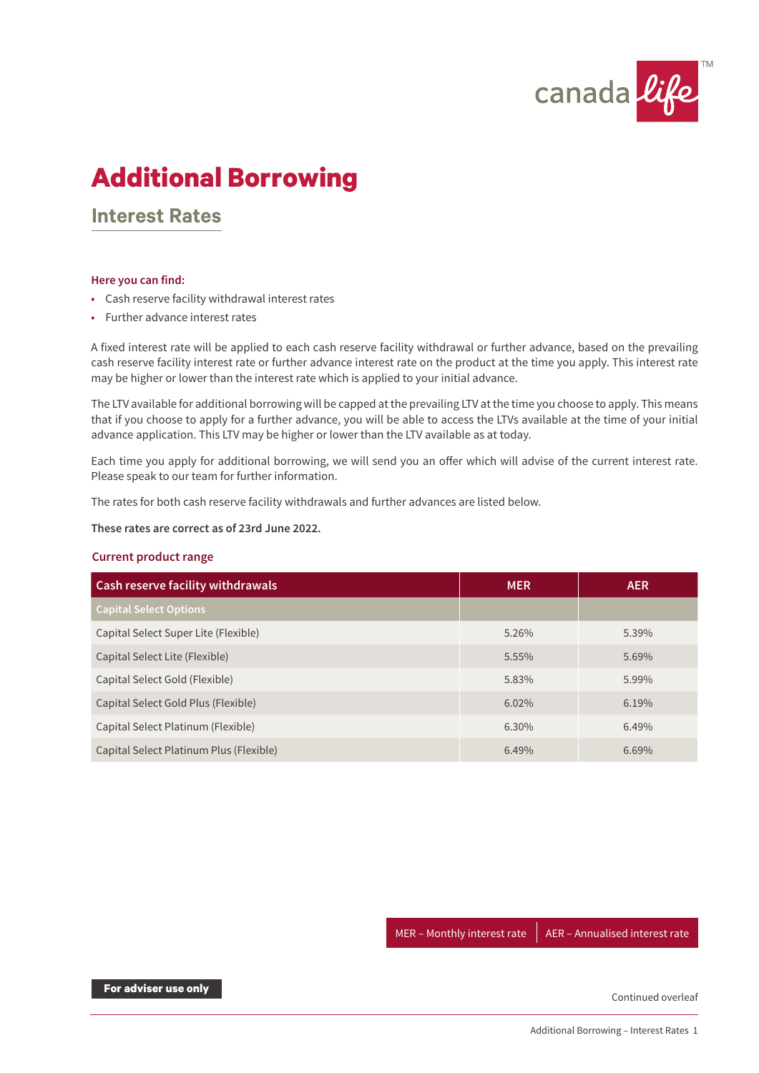

# **Additional Borrowing**

## **Interest Rates**

#### **Here you can find:**

- Cash reserve facility withdrawal interest rates
- Further advance interest rates

A fixed interest rate will be applied to each cash reserve facility withdrawal or further advance, based on the prevailing cash reserve facility interest rate or further advance interest rate on the product at the time you apply. This interest rate may be higher or lower than the interest rate which is applied to your initial advance.

The LTV available for additional borrowing will be capped at the prevailing LTV at the time you choose to apply. This means that if you choose to apply for a further advance, you will be able to access the LTVs available at the time of your initial advance application. This LTV may be higher or lower than the LTV available as at today.

Each time you apply for additional borrowing, we will send you an offer which will advise of the current interest rate. Please speak to our team for further information.

The rates for both cash reserve facility withdrawals and further advances are listed below.

**These rates are correct as of 23rd June 2022.**

#### **Current product range**

| <b>Cash reserve facility withdrawals</b> | <b>MER</b> | <b>AER</b> |
|------------------------------------------|------------|------------|
| <b>Capital Select Options</b>            |            |            |
| Capital Select Super Lite (Flexible)     | 5.26%      | 5.39%      |
| Capital Select Lite (Flexible)           | 5.55%      | 5.69%      |
| Capital Select Gold (Flexible)           | 5.83%      | 5.99%      |
| Capital Select Gold Plus (Flexible)      | 6.02%      | 6.19%      |
| Capital Select Platinum (Flexible)       | 6.30%      | 6.49%      |
| Capital Select Platinum Plus (Flexible)  | 6.49%      | 6.69%      |

MER – Monthly interest rate  $\parallel$  AER – Annualised interest rate

**For adviser use only**

Continued overleaf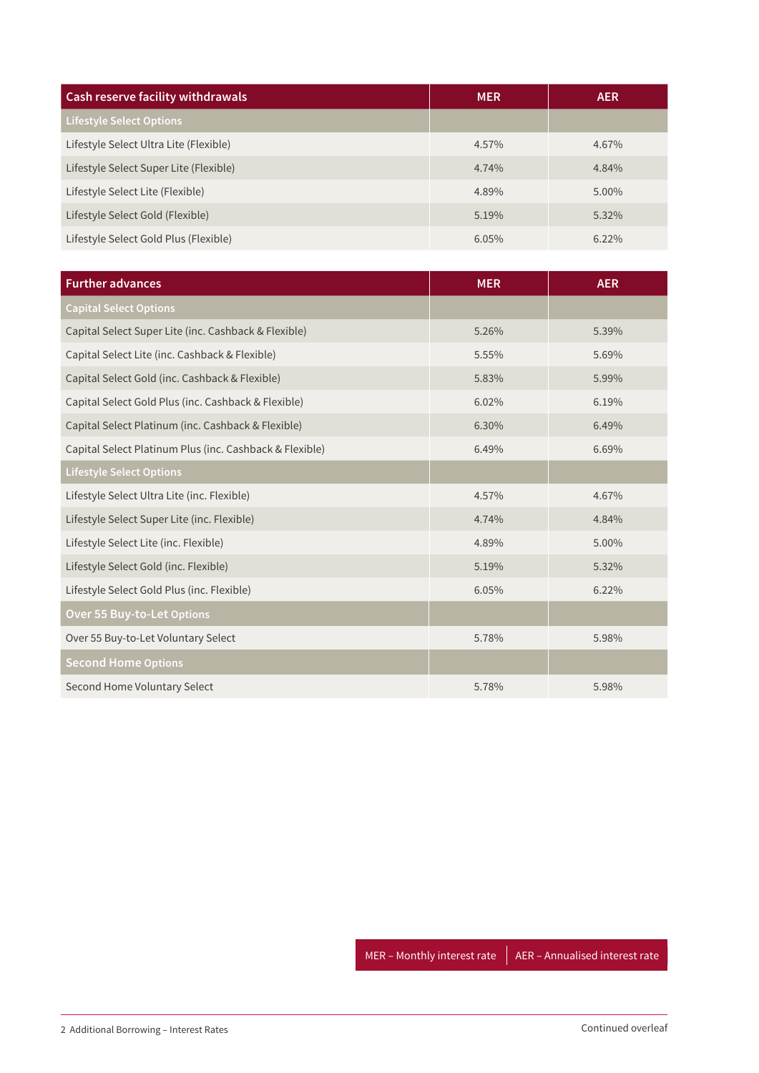| <b>Cash reserve facility withdrawals</b> | <b>MER</b> | <b>AER</b> |
|------------------------------------------|------------|------------|
| <b>Lifestyle Select Options</b>          |            |            |
| Lifestyle Select Ultra Lite (Flexible)   | 4.57%      | 4.67%      |
| Lifestyle Select Super Lite (Flexible)   | 4.74%      | 4.84%      |
| Lifestyle Select Lite (Flexible)         | 4.89%      | 5.00%      |
| Lifestyle Select Gold (Flexible)         | 5.19%      | $5.32\%$   |
| Lifestyle Select Gold Plus (Flexible)    | 6.05%      | $6.22\%$   |

| <b>Further advances</b>                                 | <b>MER</b> | <b>AER</b> |
|---------------------------------------------------------|------------|------------|
| <b>Capital Select Options</b>                           |            |            |
| Capital Select Super Lite (inc. Cashback & Flexible)    | 5.26%      | 5.39%      |
| Capital Select Lite (inc. Cashback & Flexible)          | 5.55%      | 5.69%      |
| Capital Select Gold (inc. Cashback & Flexible)          | 5.83%      | 5.99%      |
| Capital Select Gold Plus (inc. Cashback & Flexible)     | 6.02%      | 6.19%      |
| Capital Select Platinum (inc. Cashback & Flexible)      | 6.30%      | 6.49%      |
| Capital Select Platinum Plus (inc. Cashback & Flexible) | 6.49%      | 6.69%      |
| <b>Lifestyle Select Options</b>                         |            |            |
| Lifestyle Select Ultra Lite (inc. Flexible)             | 4.57%      | 4.67%      |
| Lifestyle Select Super Lite (inc. Flexible)             | 4.74%      | 4.84%      |
| Lifestyle Select Lite (inc. Flexible)                   | 4.89%      | 5.00%      |
| Lifestyle Select Gold (inc. Flexible)                   | 5.19%      | 5.32%      |
| Lifestyle Select Gold Plus (inc. Flexible)              | 6.05%      | 6.22%      |
| <b>Over 55 Buy-to-Let Options</b>                       |            |            |
| Over 55 Buy-to-Let Voluntary Select                     | 5.78%      | 5.98%      |
| <b>Second Home Options</b>                              |            |            |
| Second Home Voluntary Select                            | 5.78%      | 5.98%      |

MER – Monthly interest rate  $\parallel$  AER – Annualised interest rate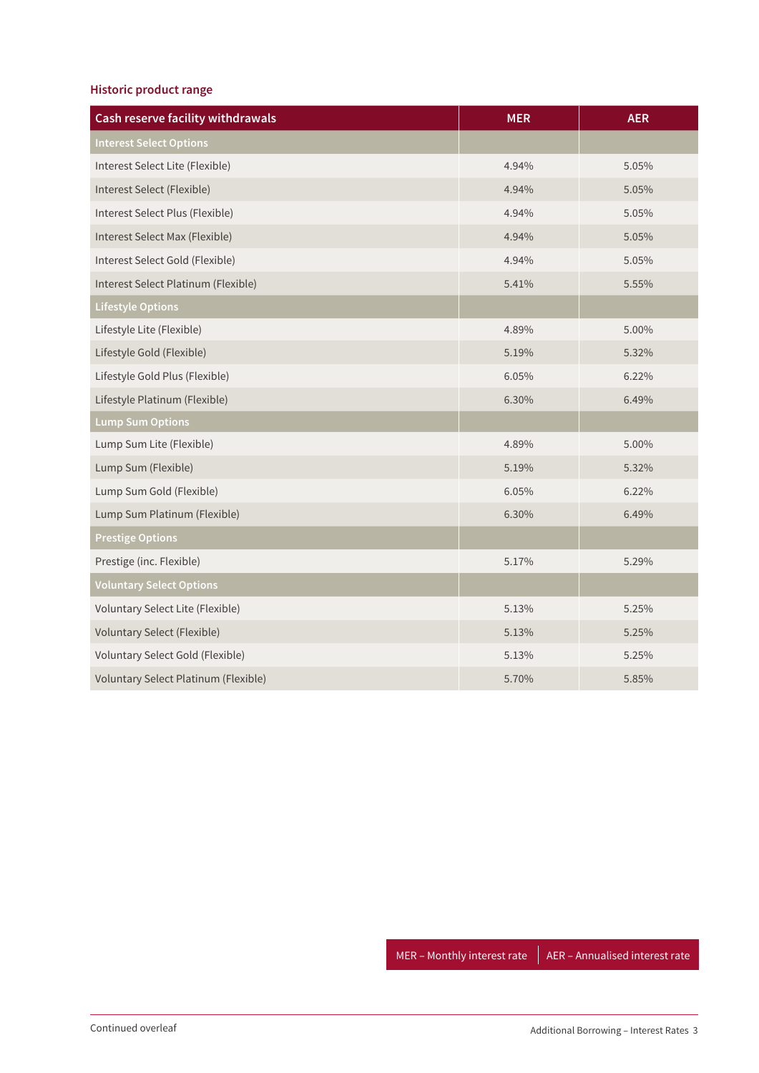### **Historic product range**

| <b>Cash reserve facility withdrawals</b> | <b>MER</b> | <b>AER</b> |
|------------------------------------------|------------|------------|
| <b>Interest Select Options</b>           |            |            |
| Interest Select Lite (Flexible)          | 4.94%      | 5.05%      |
| Interest Select (Flexible)               | 4.94%      | 5.05%      |
| Interest Select Plus (Flexible)          | 4.94%      | 5.05%      |
| Interest Select Max (Flexible)           | 4.94%      | 5.05%      |
| Interest Select Gold (Flexible)          | 4.94%      | 5.05%      |
| Interest Select Platinum (Flexible)      | 5.41%      | 5.55%      |
| <b>Lifestyle Options</b>                 |            |            |
| Lifestyle Lite (Flexible)                | 4.89%      | 5.00%      |
| Lifestyle Gold (Flexible)                | 5.19%      | 5.32%      |
| Lifestyle Gold Plus (Flexible)           | 6.05%      | 6.22%      |
| Lifestyle Platinum (Flexible)            | 6.30%      | 6.49%      |
| <b>Lump Sum Options</b>                  |            |            |
| Lump Sum Lite (Flexible)                 | 4.89%      | 5.00%      |
| Lump Sum (Flexible)                      | 5.19%      | 5.32%      |
| Lump Sum Gold (Flexible)                 | 6.05%      | 6.22%      |
| Lump Sum Platinum (Flexible)             | 6.30%      | 6.49%      |
| <b>Prestige Options</b>                  |            |            |
| Prestige (inc. Flexible)                 | 5.17%      | 5.29%      |
| <b>Voluntary Select Options</b>          |            |            |
| Voluntary Select Lite (Flexible)         | 5.13%      | 5.25%      |
| <b>Voluntary Select (Flexible)</b>       | 5.13%      | 5.25%      |
| Voluntary Select Gold (Flexible)         | 5.13%      | 5.25%      |
| Voluntary Select Platinum (Flexible)     | 5.70%      | 5.85%      |

MER – Monthly interest rate  $\parallel$  AER – Annualised interest rate